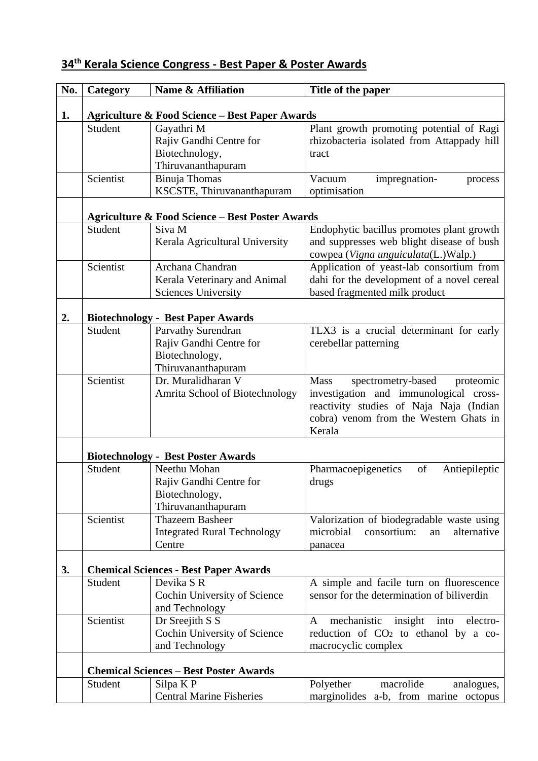| No. | Category                                      | Name & Affiliation                                         | Title of the paper                                |
|-----|-----------------------------------------------|------------------------------------------------------------|---------------------------------------------------|
|     |                                               |                                                            |                                                   |
| 1.  |                                               | <b>Agriculture &amp; Food Science - Best Paper Awards</b>  |                                                   |
|     | Student                                       | Gayathri M                                                 | Plant growth promoting potential of Ragi          |
|     |                                               | Rajiv Gandhi Centre for                                    | rhizobacteria isolated from Attappady hill        |
|     |                                               | Biotechnology,                                             | tract                                             |
|     |                                               | Thiruvananthapuram                                         |                                                   |
|     | Scientist                                     | Binuja Thomas                                              | Vacuum<br>impregnation-<br>process                |
|     |                                               | KSCSTE, Thiruvananthapuram                                 | optimisation                                      |
|     |                                               | <b>Agriculture &amp; Food Science - Best Poster Awards</b> |                                                   |
|     | Student                                       | Siva M                                                     | Endophytic bacillus promotes plant growth         |
|     |                                               | Kerala Agricultural University                             | and suppresses web blight disease of bush         |
|     |                                               |                                                            | cowpea (Vigna unguiculata(L.)Walp.)               |
|     | Scientist                                     | Archana Chandran                                           | Application of yeast-lab consortium from          |
|     |                                               | Kerala Veterinary and Animal                               | dahi for the development of a novel cereal        |
|     |                                               | <b>Sciences University</b>                                 | based fragmented milk product                     |
|     |                                               |                                                            |                                                   |
| 2.  |                                               | <b>Biotechnology - Best Paper Awards</b>                   |                                                   |
|     | Student                                       | Parvathy Surendran                                         | TLX3 is a crucial determinant for early           |
|     |                                               | Rajiv Gandhi Centre for                                    | cerebellar patterning                             |
|     |                                               | Biotechnology,                                             |                                                   |
|     |                                               | Thiruvananthapuram                                         |                                                   |
|     | Scientist                                     | Dr. Muralidharan V                                         | Mass<br>spectrometry-based<br>proteomic           |
|     |                                               | Amrita School of Biotechnology                             | investigation and immunological cross-            |
|     |                                               |                                                            | reactivity studies of Naja Naja (Indian           |
|     |                                               |                                                            | cobra) venom from the Western Ghats in<br>Kerala  |
|     |                                               |                                                            |                                                   |
|     |                                               | <b>Biotechnology - Best Poster Awards</b>                  |                                                   |
|     | Student                                       | Neethu Mohan                                               | Pharmacoepigenetics<br>of<br>Antiepileptic        |
|     |                                               | Rajiv Gandhi Centre for                                    | drugs                                             |
|     |                                               | Biotechnology,                                             |                                                   |
|     |                                               | Thiruvananthapuram                                         |                                                   |
|     | Scientist                                     | <b>Thazeem Basheer</b>                                     | Valorization of biodegradable waste using         |
|     |                                               | <b>Integrated Rural Technology</b>                         | microbial<br>consortium:<br>alternative<br>an     |
|     |                                               | Centre                                                     | panacea                                           |
|     |                                               |                                                            |                                                   |
| 3.  |                                               | <b>Chemical Sciences - Best Paper Awards</b>               |                                                   |
|     | Student                                       | Devika SR                                                  | A simple and facile turn on fluorescence          |
|     |                                               | Cochin University of Science                               | sensor for the determination of biliverdin        |
|     | Scientist                                     | and Technology<br>Dr Sreejith S S                          | mechanistic<br>into<br>electro-<br>A              |
|     |                                               | Cochin University of Science                               | insight<br>reduction of $CO2$ to ethanol by a co- |
|     |                                               |                                                            |                                                   |
|     |                                               | and Technology                                             | macrocyclic complex                               |
|     | <b>Chemical Sciences - Best Poster Awards</b> |                                                            |                                                   |
|     | Student                                       | Silpa K P                                                  | macrolide<br>Polyether<br>analogues,              |
|     |                                               | <b>Central Marine Fisheries</b>                            | marginolides a-b, from marine octopus             |

## **34th Kerala Science Congress - Best Paper & Poster Awards**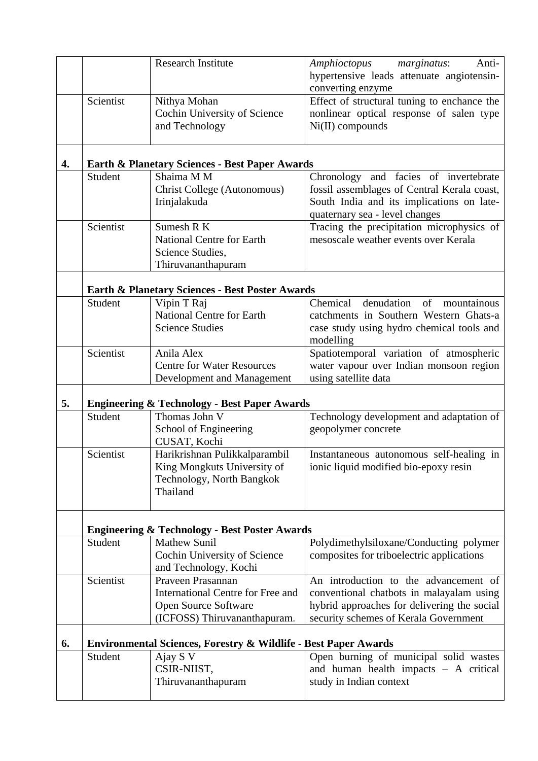|    |                                                         | <b>Research Institute</b>                                                                                      | Amphioctopus<br>marginatus:<br>Anti-<br>hypertensive leads attenuate angiotensin-<br>converting enzyme                                                                    |
|----|---------------------------------------------------------|----------------------------------------------------------------------------------------------------------------|---------------------------------------------------------------------------------------------------------------------------------------------------------------------------|
|    | Scientist                                               | Nithya Mohan<br>Cochin University of Science<br>and Technology                                                 | Effect of structural tuning to enchance the<br>nonlinear optical response of salen type<br>$Ni(II)$ compounds                                                             |
| 4. |                                                         | <b>Earth &amp; Planetary Sciences - Best Paper Awards</b>                                                      |                                                                                                                                                                           |
|    | Student                                                 | Shaima M M<br>Christ College (Autonomous)<br>Irinjalakuda                                                      | Chronology and facies of invertebrate<br>fossil assemblages of Central Kerala coast,<br>South India and its implications on late-<br>quaternary sea - level changes       |
|    | Scientist                                               | Sumesh R K<br><b>National Centre for Earth</b><br>Science Studies,<br>Thiruvananthapuram                       | Tracing the precipitation microphysics of<br>mesoscale weather events over Kerala                                                                                         |
|    |                                                         | <b>Earth &amp; Planetary Sciences - Best Poster Awards</b>                                                     |                                                                                                                                                                           |
|    | Student                                                 | Vipin T Raj<br><b>National Centre for Earth</b><br><b>Science Studies</b>                                      | Chemical<br>denudation<br>of<br>mountainous<br>catchments in Southern Western Ghats-a<br>case study using hydro chemical tools and<br>modelling                           |
|    | Scientist                                               | Anila Alex<br><b>Centre for Water Resources</b><br>Development and Management                                  | Spatiotemporal variation of atmospheric<br>water vapour over Indian monsoon region<br>using satellite data                                                                |
| 5. | <b>Engineering &amp; Technology - Best Paper Awards</b> |                                                                                                                |                                                                                                                                                                           |
|    | Student                                                 | Thomas John V<br>School of Engineering<br>CUSAT, Kochi                                                         | Technology development and adaptation of<br>geopolymer concrete                                                                                                           |
|    | Scientist                                               | Harikrishnan Pulikkalparambil<br>King Mongkuts University of<br>Technology, North Bangkok<br>Thailand          | Instantaneous autonomous self-healing in<br>ionic liquid modified bio-epoxy resin                                                                                         |
|    |                                                         | <b>Engineering &amp; Technology - Best Poster Awards</b>                                                       |                                                                                                                                                                           |
|    | Student                                                 | <b>Mathew Sunil</b><br>Cochin University of Science<br>and Technology, Kochi                                   | Polydimethylsiloxane/Conducting polymer<br>composites for triboelectric applications                                                                                      |
|    | Scientist                                               | Praveen Prasannan<br>International Centre for Free and<br>Open Source Software<br>(ICFOSS) Thiruvananthapuram. | An introduction to the advancement of<br>conventional chatbots in malayalam using<br>hybrid approaches for delivering the social<br>security schemes of Kerala Government |
| 6. |                                                         | <b>Environmental Sciences, Forestry &amp; Wildlife - Best Paper Awards</b>                                     |                                                                                                                                                                           |
|    | Student                                                 | Ajay S V<br>CSIR-NIIST,<br>Thiruvananthapuram                                                                  | Open burning of municipal solid wastes<br>and human health impacts $-$ A critical<br>study in Indian context                                                              |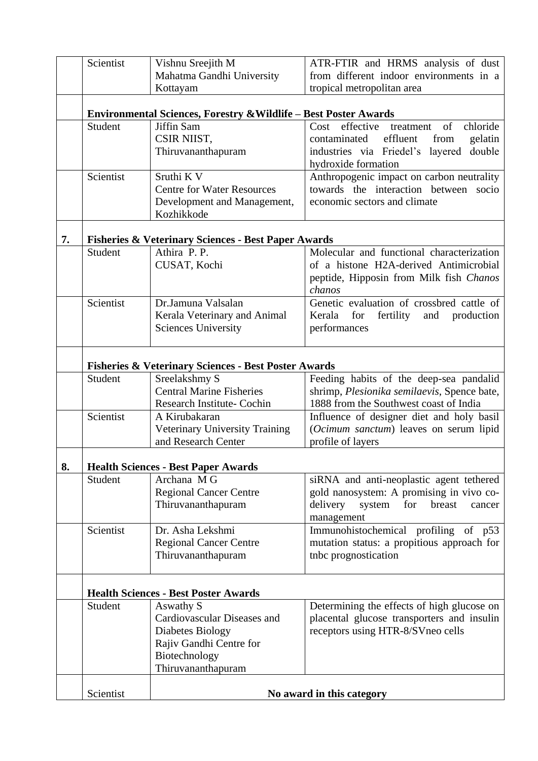|    | Scientist      | Vishnu Sreejith M<br>Mahatma Gandhi University                              | ATR-FTIR and HRMS analysis of dust<br>from different indoor environments in a             |  |
|----|----------------|-----------------------------------------------------------------------------|-------------------------------------------------------------------------------------------|--|
|    |                | Kottayam                                                                    | tropical metropolitan area                                                                |  |
|    |                | <b>Environmental Sciences, Forestry &amp; Wildlife - Best Poster Awards</b> |                                                                                           |  |
|    | Student        | Jiffin Sam                                                                  | effective<br>chloride<br>Cost<br>treatment<br>of                                          |  |
|    |                | CSIR NIIST,<br>Thiruvananthapuram                                           | effluent<br>gelatin<br>contaminated<br>from<br>double<br>industries via Friedel's layered |  |
|    |                |                                                                             | hydroxide formation                                                                       |  |
|    | Scientist      | Sruthi K V                                                                  | Anthropogenic impact on carbon neutrality                                                 |  |
|    |                | <b>Centre for Water Resources</b>                                           | towards the interaction between<br>socio                                                  |  |
|    |                | Development and Management,<br>Kozhikkode                                   | economic sectors and climate                                                              |  |
|    |                |                                                                             |                                                                                           |  |
| 7. |                | <b>Fisheries &amp; Veterinary Sciences - Best Paper Awards</b>              |                                                                                           |  |
|    | <b>Student</b> | Athira P.P.                                                                 | Molecular and functional characterization                                                 |  |
|    |                | CUSAT, Kochi                                                                | of a histone H2A-derived Antimicrobial                                                    |  |
|    |                |                                                                             | peptide, Hipposin from Milk fish Chanos<br>chanos                                         |  |
|    | Scientist      | Dr.Jamuna Valsalan                                                          | Genetic evaluation of crossbred cattle of                                                 |  |
|    |                | Kerala Veterinary and Animal                                                | Kerala<br>for<br>fertility<br>and<br>production                                           |  |
|    |                | <b>Sciences University</b>                                                  | performances                                                                              |  |
|    |                |                                                                             |                                                                                           |  |
|    |                | <b>Fisheries &amp; Veterinary Sciences - Best Poster Awards</b>             |                                                                                           |  |
|    | Student        | Sreelakshmy S                                                               | Feeding habits of the deep-sea pandalid                                                   |  |
|    |                | <b>Central Marine Fisheries</b>                                             | shrimp, Plesionika semilaevis, Spence bate,                                               |  |
|    |                | <b>Research Institute- Cochin</b>                                           | 1888 from the Southwest coast of India                                                    |  |
|    | Scientist      | A Kirubakaran                                                               | Influence of designer diet and holy basil                                                 |  |
|    |                | Veterinary University Training<br>and Research Center                       | (Ocimum sanctum) leaves on serum lipid<br>profile of layers                               |  |
|    |                |                                                                             |                                                                                           |  |
| 8. |                | <b>Health Sciences - Best Paper Awards</b>                                  |                                                                                           |  |
|    | Student        | Archana M G                                                                 | siRNA and anti-neoplastic agent tethered                                                  |  |
|    |                | <b>Regional Cancer Centre</b>                                               | gold nanosystem: A promising in vivo co-                                                  |  |
|    |                | Thiruvananthapuram                                                          | delivery<br>system<br>for<br>breast<br>cancer<br>management                               |  |
|    | Scientist      | Dr. Asha Lekshmi                                                            | Immunohistochemical profiling of p53                                                      |  |
|    |                | <b>Regional Cancer Centre</b>                                               | mutation status: a propitious approach for                                                |  |
|    |                | Thiruvananthapuram                                                          | tnbc prognostication                                                                      |  |
|    |                |                                                                             |                                                                                           |  |
|    |                | <b>Health Sciences - Best Poster Awards</b>                                 |                                                                                           |  |
|    | Student        | Aswathy S                                                                   | Determining the effects of high glucose on                                                |  |
|    |                | Cardiovascular Diseases and                                                 | placental glucose transporters and insulin                                                |  |
|    |                | Diabetes Biology                                                            | receptors using HTR-8/SVneo cells                                                         |  |
|    |                | Rajiv Gandhi Centre for                                                     |                                                                                           |  |
|    |                | Biotechnology                                                               |                                                                                           |  |
|    |                | Thiruvananthapuram                                                          |                                                                                           |  |
|    | Scientist      |                                                                             | No award in this category                                                                 |  |
|    |                |                                                                             |                                                                                           |  |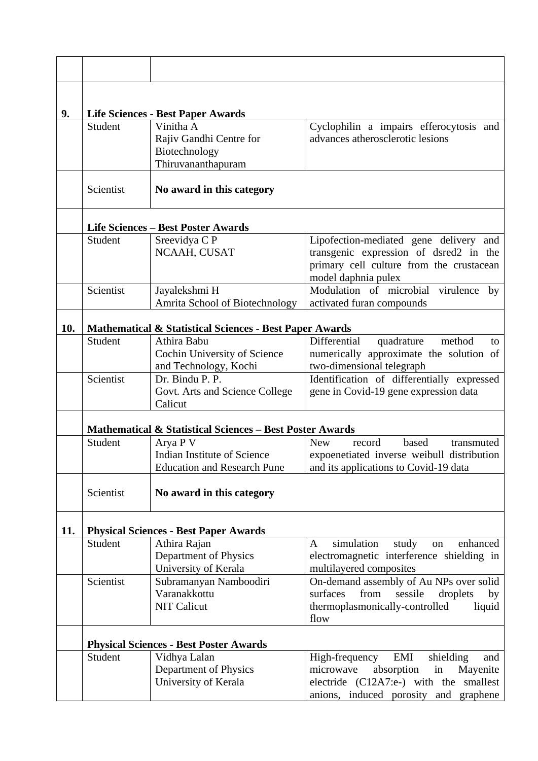| 9.  |           | <b>Life Sciences - Best Paper Awards</b>                                      |                                                                                                                                                                           |
|-----|-----------|-------------------------------------------------------------------------------|---------------------------------------------------------------------------------------------------------------------------------------------------------------------------|
|     | Student   | Vinitha A<br>Rajiv Gandhi Centre for<br>Biotechnology<br>Thiruvananthapuram   | Cyclophilin a impairs efferocytosis and<br>advances atherosclerotic lesions                                                                                               |
|     | Scientist | No award in this category                                                     |                                                                                                                                                                           |
|     |           | <b>Life Sciences - Best Poster Awards</b>                                     |                                                                                                                                                                           |
|     | Student   | Sreevidya C P                                                                 | Lipofection-mediated gene delivery and                                                                                                                                    |
|     |           | NCAAH, CUSAT                                                                  | transgenic expression of dsred2 in the<br>primary cell culture from the crustacean<br>model daphnia pulex                                                                 |
|     | Scientist | Jayalekshmi H                                                                 | Modulation of microbial<br>virulence<br>by                                                                                                                                |
|     |           | Amrita School of Biotechnology                                                | activated furan compounds                                                                                                                                                 |
| 10. |           | <b>Mathematical &amp; Statistical Sciences - Best Paper Awards</b>            |                                                                                                                                                                           |
|     | Student   | Athira Babu                                                                   | Differential<br>method<br>quadrature<br>to                                                                                                                                |
|     |           | Cochin University of Science<br>and Technology, Kochi                         | numerically approximate the solution of<br>two-dimensional telegraph                                                                                                      |
|     | Scientist | Dr. Bindu P. P.<br>Govt. Arts and Science College<br>Calicut                  | Identification of differentially expressed<br>gene in Covid-19 gene expression data                                                                                       |
|     |           | <b>Mathematical &amp; Statistical Sciences - Best Poster Awards</b>           |                                                                                                                                                                           |
|     | Student   | Arya P V<br>Indian Institute of Science<br><b>Education and Research Pune</b> | based<br><b>New</b><br>record<br>transmuted<br>expoenetiated inverse weibull distribution<br>and its applications to Covid-19 data                                        |
|     | Scientist | No award in this category                                                     |                                                                                                                                                                           |
| 11. |           | <b>Physical Sciences - Best Paper Awards</b>                                  |                                                                                                                                                                           |
|     | Student   | Athira Rajan                                                                  | simulation<br>study<br>enhanced<br>A<br>on                                                                                                                                |
|     |           | Department of Physics<br>University of Kerala                                 | electromagnetic interference shielding in<br>multilayered composites                                                                                                      |
|     | Scientist | Subramanyan Namboodiri<br>Varanakkottu<br><b>NIT Calicut</b>                  | On-demand assembly of Au NPs over solid<br>surfaces<br>from<br>sessile<br>droplets<br>by<br>thermoplasmonically-controlled<br>liquid<br>flow                              |
|     |           | <b>Physical Sciences - Best Poster Awards</b>                                 |                                                                                                                                                                           |
|     | Student   | Vidhya Lalan<br>Department of Physics<br>University of Kerala                 | EMI<br>High-frequency<br>shielding<br>and<br>in<br>microwave<br>absorption<br>Mayenite<br>electride (C12A7:e-) with the smallest<br>anions, induced porosity and graphene |